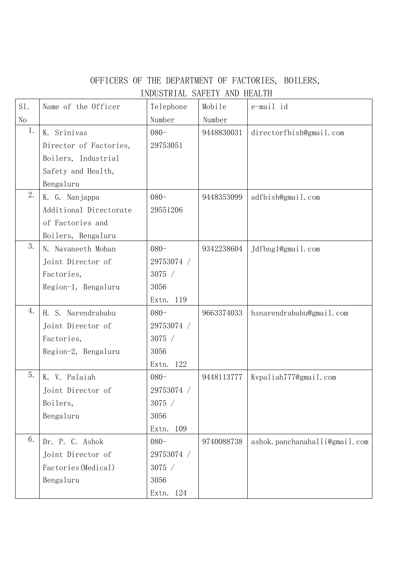## OFFICERS OF THE DEPARTMENT OF FACTORIES, BOILERS, INDUSTRIAL SAFETY AND HEALTH

| S1. | Name of the Officer    | Telephone    | Mobile     | e-mail id                     |
|-----|------------------------|--------------|------------|-------------------------------|
| No  |                        | Number       | Number     |                               |
| 1.  | Srinivas<br>K.         | $080 -$      | 9448830031 | directorfbish@gmail.com       |
|     | Director of Factories, | 29753051     |            |                               |
|     | Boilers, Industrial    |              |            |                               |
|     | Safety and Health,     |              |            |                               |
|     | Bengaluru              |              |            |                               |
| 2.  | K. G. Nanjappa         | $080 -$      | 9448353099 | adfbish@gmail.com             |
|     | Additional Directorate | 29551206     |            |                               |
|     | of Factories and       |              |            |                               |
|     | Boilers, Bengaluru     |              |            |                               |
| 3.  | N. Navaneeth Mohan     | $080 -$      | 9342238604 | Jdfbng1@gmail.com             |
|     | Joint Director of      | 29753074 /   |            |                               |
|     | Factories,             | 3075 /       |            |                               |
|     | Region-1, Bengaluru    | 3056         |            |                               |
|     |                        | Extn. 119    |            |                               |
| 4.  | H. S. Narendrababu     | $080 -$      | 9663374033 | hsnarendrababu@gmail.com      |
|     | Joint Director of      | 29753074 /   |            |                               |
|     | Factories,             | 3075 /       |            |                               |
|     | Region-2, Bengaluru    | 3056         |            |                               |
|     |                        | Extn. 122    |            |                               |
| 5.  | V. Palaiah<br>Κ.       | $080 -$      | 9448113777 | Kvpaliah777@gmail.com         |
|     | Joint Director of      | 29753074 /   |            |                               |
|     | Boilers,               | 3075 /       |            |                               |
|     | Bengaluru              | 3056         |            |                               |
|     |                        | Extn.<br>109 |            |                               |
| 6.  | Dr. P. C. Ashok        | $080 -$      | 9740088738 | ashok.panchanahalli@gmail.com |
|     | Joint Director of      | 29753074 /   |            |                               |
|     | Factories (Medical)    | 3075 /       |            |                               |
|     | Bengaluru              | 3056         |            |                               |
|     |                        | Extn. 124    |            |                               |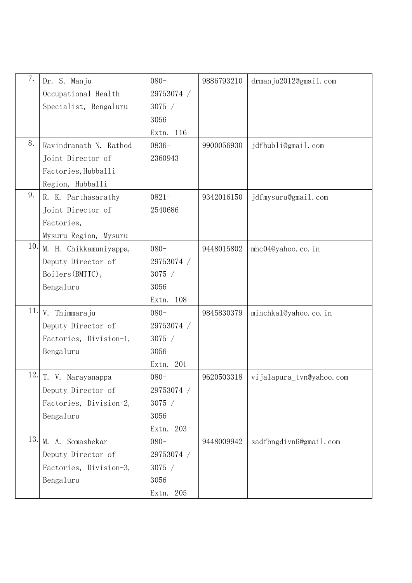| 7.  | Dr. S. Manju           | $080 -$      | 9886793210 | drmanju2012@gmail.com    |
|-----|------------------------|--------------|------------|--------------------------|
|     | Occupational Health    | 29753074 /   |            |                          |
|     | Specialist, Bengaluru  | 3075 /       |            |                          |
|     |                        | 3056         |            |                          |
|     |                        | Extn. 116    |            |                          |
| 8.  | Ravindranath N. Rathod | $0836 -$     | 9900056930 | jdfhubli@gmail.com       |
|     | Joint Director of      | 2360943      |            |                          |
|     | Factories, Hubballi    |              |            |                          |
|     | Region, Hubballi       |              |            |                          |
| 9.  | R. K. Parthasarathy    | $0821 -$     | 9342016150 | jdfmysuru@gmail.com      |
|     | Joint Director of      | 2540686      |            |                          |
|     | Factories,             |              |            |                          |
|     | Mysuru Region, Mysuru  |              |            |                          |
| 10. | M. H. Chikkamuniyappa, | $080 -$      | 9448015802 | mhc04@yahoo.co.in        |
|     | Deputy Director of     | 29753074 /   |            |                          |
|     | Boilers (BMTTC),       | 3075 /       |            |                          |
|     | Bengaluru              | 3056         |            |                          |
|     |                        | Extn. 108    |            |                          |
| 11. | V. Thimmaraju          | $080 -$      | 9845830379 | minchkal@yahoo.co.in     |
|     | Deputy Director of     | 29753074 /   |            |                          |
|     | Factories, Division-1, | 3075 /       |            |                          |
|     | Bengaluru              | 3056         |            |                          |
|     |                        | 201<br>Extn. |            |                          |
| 12. | T. V. Narayanappa      | $080 -$      | 9620503318 | vijalapura_tvn@yahoo.com |
|     | Deputy Director of     | 29753074 /   |            |                          |
|     | Factories, Division-2, | 3075 /       |            |                          |
|     | Bengaluru              | 3056         |            |                          |
|     |                        | 203<br>Extn. |            |                          |
| 13. | M. A. Somashekar       | $080 -$      | 9448009942 | sadfbngdivn6@gmail.com   |
|     | Deputy Director of     | 29753074 /   |            |                          |
|     | Factories, Division-3, | 3075 /       |            |                          |
|     | Bengaluru              | 3056         |            |                          |
|     |                        | Extn. 205    |            |                          |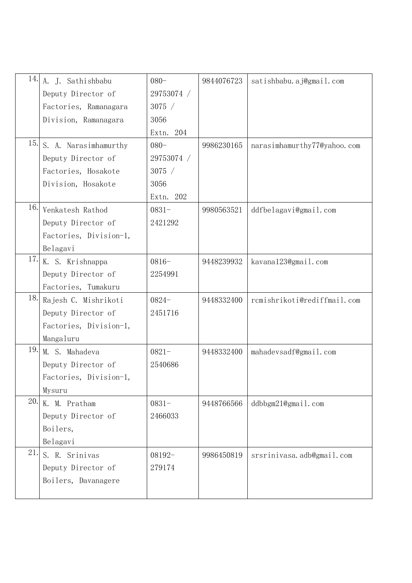| 14. | A. J. Sathishbabu      | $080 -$    | 9844076723 | satishbabu.aj@gmail.com     |
|-----|------------------------|------------|------------|-----------------------------|
|     | Deputy Director of     | 29753074 / |            |                             |
|     | Factories, Ramanagara  | 3075/      |            |                             |
|     | Division, Ramanagara   | 3056       |            |                             |
|     |                        | Extn. 204  |            |                             |
| 15. | S. A. Narasimhamurthy  | $080 -$    | 9986230165 | narasimhamurthy77@yahoo.com |
|     | Deputy Director of     | 29753074 / |            |                             |
|     | Factories, Hosakote    | 3075/      |            |                             |
|     | Division, Hosakote     | 3056       |            |                             |
|     |                        | Extn. 202  |            |                             |
| 16. | Venkatesh Rathod       | $0831 -$   | 9980563521 | ddfbelagavi@gmail.com       |
|     | Deputy Director of     | 2421292    |            |                             |
|     | Factories, Division-1, |            |            |                             |
|     | Belagavi               |            |            |                             |
| 17. | K. S. Krishnappa       | $0816 -$   | 9448239932 | kavana123@gmail.com         |
|     | Deputy Director of     | 2254991    |            |                             |
|     | Factories, Tumakuru    |            |            |                             |
| 18. | Rajesh C. Mishrikoti   | $0824 -$   | 9448332400 | rcmishrikoti@rediffmail.com |
|     | Deputy Director of     | 2451716    |            |                             |
|     | Factories, Division-1, |            |            |                             |
|     | Mangaluru              |            |            |                             |
| 19. | M. S. Mahadeva         | $0821 -$   | 9448332400 | mahadevsadf@gmail.com       |
|     | Deputy Director of     | 2540686    |            |                             |
|     | Factories, Division-1, |            |            |                             |
|     | Mysuru                 |            |            |                             |
| 20. | K. M. Pratham          | $0831 -$   | 9448766566 | $ddb$ bgm $21$ @gmail.com   |
|     | Deputy Director of     | 2466033    |            |                             |
|     | Boilers,               |            |            |                             |
|     | Belagavi               |            |            |                             |
| 21. | S. R. Srinivas         | 08192-     | 9986450819 | srsrinivasa.adb@gmail.com   |
|     | Deputy Director of     | 279174     |            |                             |
|     | Boilers, Davanagere    |            |            |                             |
|     |                        |            |            |                             |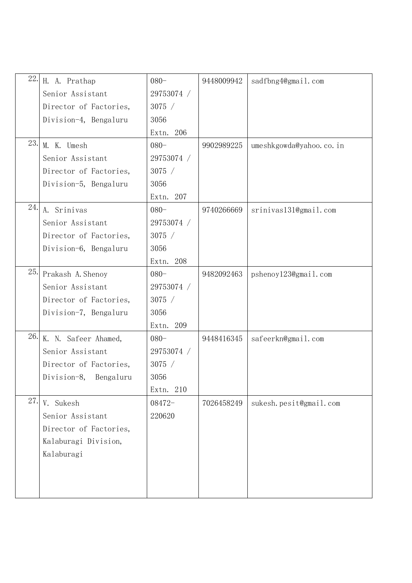| 22. | H. A. Prathap            | $080 -$    | 9448009942 | sadfbng4@gmail.com      |
|-----|--------------------------|------------|------------|-------------------------|
|     | Senior Assistant         | 29753074 / |            |                         |
|     | Director of Factories,   | 3075 /     |            |                         |
|     | Division-4, Bengaluru    | 3056       |            |                         |
|     |                          | Extn. 206  |            |                         |
| 23. | M. K. Umesh              | $080 -$    | 9902989225 | umeshkgowda@yahoo.co.in |
|     | Senior Assistant         | 29753074 / |            |                         |
|     | Director of Factories,   | 3075 /     |            |                         |
|     | Division-5, Bengaluru    | 3056       |            |                         |
|     |                          | Extn. 207  |            |                         |
| 24. | A. Srinivas              | $080 -$    | 9740266669 | srinivas131@gmail.com   |
|     | Senior Assistant         | 29753074 / |            |                         |
|     | Director of Factories,   | 3075 /     |            |                         |
|     | Division-6, Bengaluru    | 3056       |            |                         |
|     |                          | Extn. 208  |            |                         |
| 25. | Prakash A. Shenoy        | $080 -$    | 9482092463 | pshenoy123@gmail.com    |
|     | Senior Assistant         | 29753074 / |            |                         |
|     | Director of Factories,   | 3075 /     |            |                         |
|     | Division-7, Bengaluru    | 3056       |            |                         |
|     |                          | Extn. 209  |            |                         |
| 26. | K. N. Safeer Ahamed,     | $080 -$    | 9448416345 | safeerkn@gmail.com      |
|     | Senior Assistant         | 29753074 / |            |                         |
|     | Director of Factories,   | 3075 /     |            |                         |
|     | Division-8,<br>Bengaluru | 3056       |            |                         |
|     |                          | Extn. 210  |            |                         |
| 27. | V. Sukesh                | 08472-     | 7026458249 | sukesh.pesit@gmail.com  |
|     | Senior Assistant         | 220620     |            |                         |
|     | Director of Factories,   |            |            |                         |
|     | Kalaburagi Division,     |            |            |                         |
|     | Kalaburagi               |            |            |                         |
|     |                          |            |            |                         |
|     |                          |            |            |                         |
|     |                          |            |            |                         |
|     |                          |            |            |                         |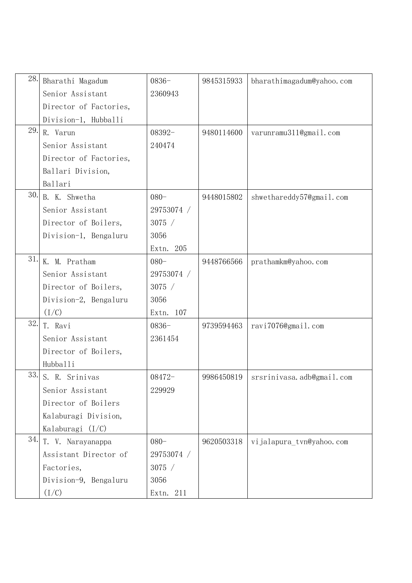| 28. | Bharathi Magadum       | $0836 -$   | 9845315933 | bharathimagadum@yahoo.com |
|-----|------------------------|------------|------------|---------------------------|
|     | Senior Assistant       | 2360943    |            |                           |
|     | Director of Factories, |            |            |                           |
|     | Division-1, Hubballi   |            |            |                           |
| 29. | R. Varun               | 08392-     | 9480114600 | varunramu311@gmail.com    |
|     | Senior Assistant       | 240474     |            |                           |
|     | Director of Factories, |            |            |                           |
|     | Ballari Division,      |            |            |                           |
|     | Ballari                |            |            |                           |
| 30. | B. K. Shwetha          | $080 -$    | 9448015802 | shwethareddy57@gmail.com  |
|     | Senior Assistant       | 29753074 / |            |                           |
|     | Director of Boilers,   | 3075 /     |            |                           |
|     | Division-1, Bengaluru  | 3056       |            |                           |
|     |                        | Extn. 205  |            |                           |
| 31. | K. M. Pratham          | $080 -$    | 9448766566 | prathamkm@yahoo.com       |
|     | Senior Assistant       | 29753074 / |            |                           |
|     | Director of Boilers,   | 3075 /     |            |                           |
|     | Division-2, Bengaluru  | 3056       |            |                           |
|     | (I/C)                  | Extn. 107  |            |                           |
| 32. | T. Ravi                | $0836 -$   | 9739594463 | ravi7076@gmail.com        |
|     | Senior Assistant       | 2361454    |            |                           |
|     | Director of Boilers,   |            |            |                           |
|     | Hubballi               |            |            |                           |
| 33. | S. R. Srinivas         | 08472-     | 9986450819 | srsrinivasa.adb@gmail.com |
|     | Senior Assistant       | 229929     |            |                           |
|     | Director of Boilers    |            |            |                           |
|     | Kalaburagi Division,   |            |            |                           |
|     | Kalaburagi $(I/C)$     |            |            |                           |
| 34. | T. V. Narayanappa      | $080 -$    | 9620503318 | vijalapura_tvn@yahoo.com  |
|     | Assistant Director of  | 29753074 / |            |                           |
|     | Factories,             | 3075/      |            |                           |
|     | Division-9, Bengaluru  | 3056       |            |                           |
|     | (I/C)                  | Extn. 211  |            |                           |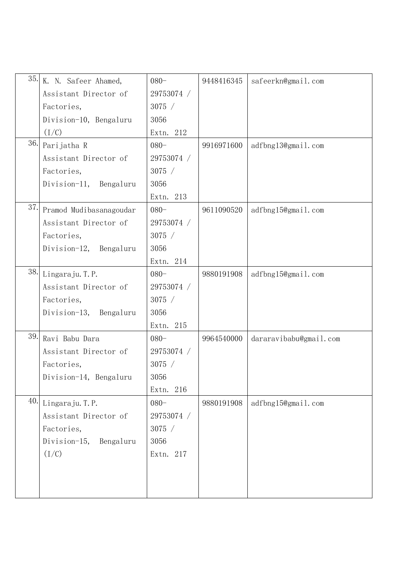| 35. | K. N. Safeer Ahamed,      | $080 -$    | 9448416345 | safeerkn@gmail.com     |
|-----|---------------------------|------------|------------|------------------------|
|     | Assistant Director of     | 29753074 / |            |                        |
|     | Factories,                | 3075/      |            |                        |
|     | Division-10, Bengaluru    | 3056       |            |                        |
|     | (I/C)                     | Extn. 212  |            |                        |
| 36. | Parijatha R               | $080 -$    | 9916971600 | adfbng13@gmail.com     |
|     | Assistant Director of     | 29753074 / |            |                        |
|     | Factories,                | 3075 /     |            |                        |
|     | Division-11, Bengaluru    | 3056       |            |                        |
|     |                           | Extn. 213  |            |                        |
| 37. | Pramod Mudibasanagoudar   | $080 -$    | 9611090520 | adfbng15@gmail.com     |
|     | Assistant Director of     | 29753074 / |            |                        |
|     | Factories,                | 3075/      |            |                        |
|     | Division-12,<br>Bengaluru | 3056       |            |                        |
|     |                           | Extn. 214  |            |                        |
| 38. | Lingaraju. T.P.           | $080 -$    | 9880191908 | adfbng15@gmail.com     |
|     | Assistant Director of     | 29753074 / |            |                        |
|     | Factories,                | 3075/      |            |                        |
|     | Division-13, Bengaluru    | 3056       |            |                        |
|     |                           | Extn. 215  |            |                        |
| 39. | Ravi Babu Dara            | $080 -$    | 9964540000 | dararavibabu@gmail.com |
|     | Assistant Director of     | 29753074 / |            |                        |
|     | Factories,                | 3075/      |            |                        |
|     | Division-14, Bengaluru    | 3056       |            |                        |
|     |                           | Extn. 216  |            |                        |
| 40. | Lingaraju. T.P.           | $080 -$    | 9880191908 | adfbng15@gmail.com     |
|     | Assistant Director of     | 29753074 / |            |                        |
|     | Factories,                | 3075 /     |            |                        |
|     | Division-15,<br>Bengaluru | 3056       |            |                        |
|     | (I/C)                     | Extn. 217  |            |                        |
|     |                           |            |            |                        |
|     |                           |            |            |                        |
|     |                           |            |            |                        |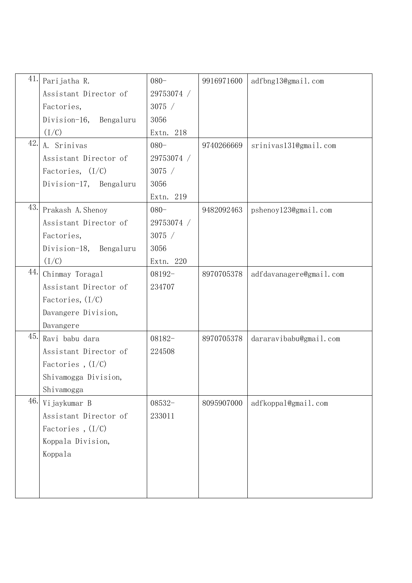| 41.<br>Parijatha R.      | $080 -$    | 9916971600 | adfbng13@gmail.com      |
|--------------------------|------------|------------|-------------------------|
| Assistant Director of    | 29753074 / |            |                         |
| Factories,               | 3075 /     |            |                         |
| Division-16, Bengaluru   | 3056       |            |                         |
| (I/C)                    | Extn. 218  |            |                         |
| 42.<br>A. Srinivas       | $080 -$    | 9740266669 | srinivas131@gmail.com   |
| Assistant Director of    | 29753074 / |            |                         |
| Factories, $(I/C)$       | 3075 /     |            |                         |
| Division-17, Bengaluru   | 3056       |            |                         |
|                          | Extn. 219  |            |                         |
| 43.<br>Prakash A. Shenoy | $080 -$    | 9482092463 | pshenoy123@gmail.com    |
| Assistant Director of    | 29753074 / |            |                         |
| Factories,               | 3075 /     |            |                         |
| Division-18, Bengaluru   | 3056       |            |                         |
| (I/C)                    | Extn. 220  |            |                         |
| 44.<br>Chinmay Toragal   | $08192-$   | 8970705378 | adfdavanagere@gmail.com |
| Assistant Director of    | 234707     |            |                         |
| Factories, $(I/C)$       |            |            |                         |
| Davangere Division,      |            |            |                         |
| Davangere                |            |            |                         |
| 45.<br>Ravi babu dara    | $08182-$   | 8970705378 | dararavibabu@gmail.com  |
| Assistant Director of    | 224508     |            |                         |
| Factories, $(I/C)$       |            |            |                         |
| Shivamogga Division,     |            |            |                         |
| Shivamogga               |            |            |                         |
| 46.<br>Vijaykumar B      | $08532-$   | 8095907000 | adfkoppal@gmail.com     |
| Assistant Director of    | 233011     |            |                         |
| Factories, $(I/C)$       |            |            |                         |
| Koppala Division,        |            |            |                         |
| Koppala                  |            |            |                         |
|                          |            |            |                         |
|                          |            |            |                         |
|                          |            |            |                         |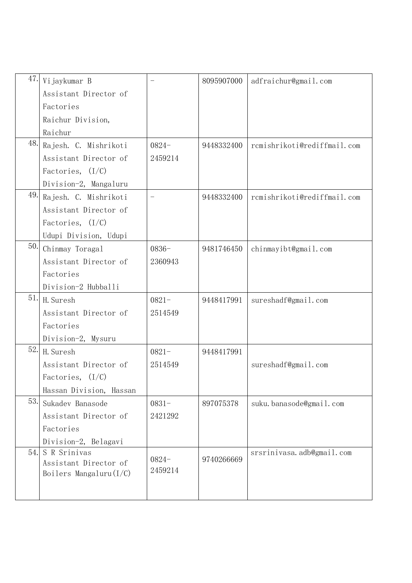| 47. | Vijaykumar B                                       |          | 8095907000 | adfraichur@gmail.com        |
|-----|----------------------------------------------------|----------|------------|-----------------------------|
|     | Assistant Director of                              |          |            |                             |
|     | Factories                                          |          |            |                             |
|     | Raichur Division,                                  |          |            |                             |
|     | Raichur                                            |          |            |                             |
| 48. | Rajesh. C. Mishrikoti                              | $0824 -$ | 9448332400 | rcmishrikoti@rediffmail.com |
|     | Assistant Director of                              | 2459214  |            |                             |
|     | Factories, $(I/C)$                                 |          |            |                             |
|     | Division-2, Mangaluru                              |          |            |                             |
| 49. | Rajesh. C. Mishrikoti                              |          | 9448332400 | rcmishrikoti@rediffmail.com |
|     | Assistant Director of                              |          |            |                             |
|     | Factories, $(I/C)$                                 |          |            |                             |
|     | Udupi Division, Udupi                              |          |            |                             |
| 50. | Chinmay Toragal                                    | $0836 -$ | 9481746450 | chinmayibt@gmail.com        |
|     | Assistant Director of                              | 2360943  |            |                             |
|     | Factories                                          |          |            |                             |
|     | Division-2 Hubballi                                |          |            |                             |
| 51. | H. Suresh                                          | $0821 -$ | 9448417991 | sureshadf@gmail.com         |
|     | Assistant Director of                              | 2514549  |            |                             |
|     | Factories                                          |          |            |                             |
|     | Division-2, Mysuru                                 |          |            |                             |
| 52. | H. Suresh                                          | $0821 -$ | 9448417991 |                             |
|     | Assistant Director of                              | 2514549  |            | sureshadf@gmail.com         |
|     | Factories, $(I/C)$                                 |          |            |                             |
|     | Hassan Division, Hassan                            |          |            |                             |
| 53. | Sukadev Banasode                                   | $0831 -$ | 897075378  | suku.banasode@gmail.com     |
|     | Assistant Director of                              | 2421292  |            |                             |
|     | Factories                                          |          |            |                             |
|     | Division-2, Belagavi                               |          |            |                             |
| 54. | S R Srinivas                                       | $0824 -$ | 9740266669 | srsrinivasa.adb@gmail.com   |
|     | Assistant Director of<br>Boilers Mangaluru $(I/C)$ | 2459214  |            |                             |
|     |                                                    |          |            |                             |
|     |                                                    |          |            |                             |